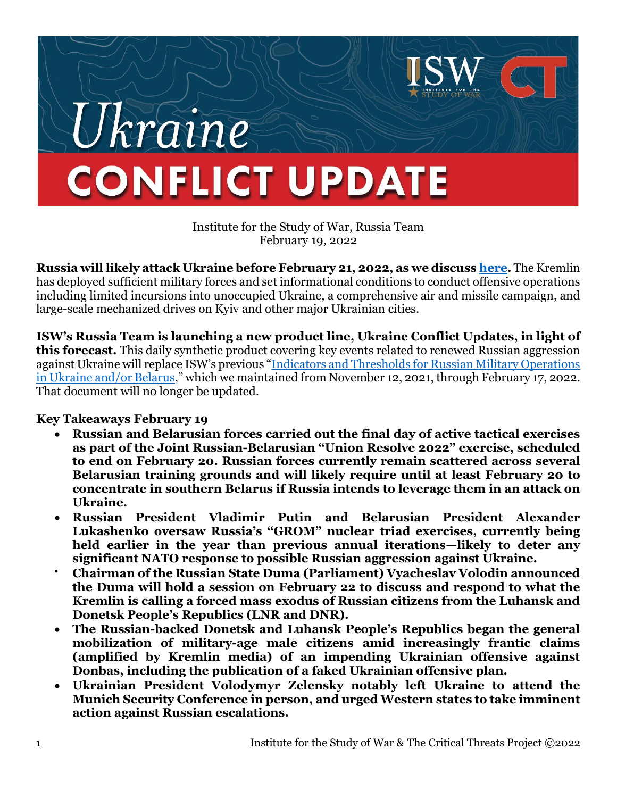# *Jkraine* **CONFLICT UPDATE**

Institute for the Study of War, Russia Team February 19, 2022

**Russia will likely attack Ukraine before February 21, 2022, as we discus[s here.](https://www.understandingwar.org/backgrounder/russia-ukraine-warning-update-new-indicators-imminent-russian-attack)** The Kremlin has deployed sufficient military forces and set informational conditions to conduct offensive operations including limited incursions into unoccupied Ukraine, a comprehensive air and missile campaign, and large-scale mechanized drives on Kyiv and other major Ukrainian cities.

**ISW's Russia Team is launching a new product line, Ukraine Conflict Updates, in light of this forecast.** This daily synthetic product covering key events related to renewed Russian aggression against Ukraine will replace ISW's previous "[Indicators and Thresholds for Russian Military Operations](https://www.understandingwar.org/backgrounder/indicators-and-thresholds-russian-military-operations-ukraine-andor-belarus)  [in Ukraine and/or Belarus](https://www.understandingwar.org/backgrounder/indicators-and-thresholds-russian-military-operations-ukraine-andor-belarus)," which we maintained from November 12, 2021, through February 17, 2022. That document will no longer be updated.

## **Key Takeaways February 19**

- **Russian and Belarusian forces carried out the final day of active tactical exercises as part of the Joint Russian-Belarusian "Union Resolve 2022" exercise, scheduled to end on February 20. Russian forces currently remain scattered across several Belarusian training grounds and will likely require until at least February 20 to concentrate in southern Belarus if Russia intends to leverage them in an attack on Ukraine.**
- **Russian President Vladimir Putin and Belarusian President Alexander Lukashenko oversaw Russia's "GROM" nuclear triad exercises, currently being held earlier in the year than previous annual iterations—likely to deter any significant NATO response to possible Russian aggression against Ukraine.**
- **Chairman of the Russian State Duma (Parliament) Vyacheslav Volodin announced the Duma will hold a session on February 22 to discuss and respond to what the Kremlin is calling a forced mass exodus of Russian citizens from the Luhansk and Donetsk People's Republics (LNR and DNR).**
- **The Russian-backed Donetsk and Luhansk People's Republics began the general mobilization of military-age male citizens amid increasingly frantic claims (amplified by Kremlin media) of an impending Ukrainian offensive against Donbas, including the publication of a faked Ukrainian offensive plan.**
- **Ukrainian President Volodymyr Zelensky notably left Ukraine to attend the Munich Security Conference in person, and urged Western states to take imminent action against Russian escalations.**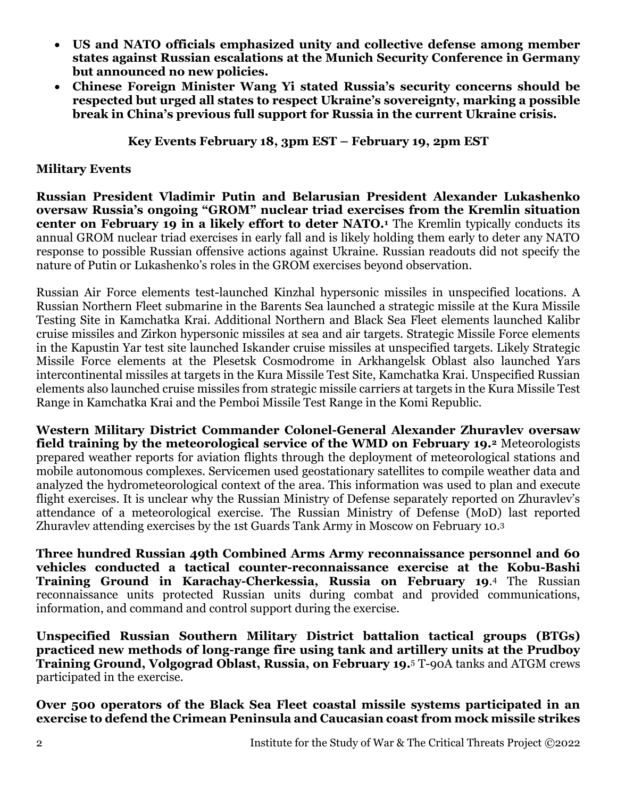- **US and NATO officials emphasized unity and collective defense among member states against Russian escalations at the Munich Security Conference in Germany but announced no new policies.**
- **Chinese Foreign Minister Wang Yi stated Russia's security concerns should be respected but urged all states to respect Ukraine's sovereignty, marking a possible break in China's previous full support for Russia in the current Ukraine crisis.**

#### **Key Events February 18, 3pm EST – February 19, 2pm EST**

### **Military Events**

**Russian President Vladimir Putin and Belarusian President Alexander Lukashenko oversaw Russia's ongoing "GROM" nuclear triad exercises from the Kremlin situation center on February 19 in a likely effort to deter NATO.<sup>1</sup>** The Kremlin typically conducts its annual GROM nuclear triad exercises in early fall and is likely holding them early to deter any NATO response to possible Russian offensive actions against Ukraine. Russian readouts did not specify the nature of Putin or Lukashenko's roles in the GROM exercises beyond observation.

Russian Air Force elements test-launched Kinzhal hypersonic missiles in unspecified locations. A Russian Northern Fleet submarine in the Barents Sea launched a strategic missile at the Kura Missile Testing Site in Kamchatka Krai. Additional Northern and Black Sea Fleet elements launched Kalibr cruise missiles and Zirkon hypersonic missiles at sea and air targets. Strategic Missile Force elements in the Kapustin Yar test site launched Iskander cruise missiles at unspecified targets. Likely Strategic Missile Force elements at the Plesetsk Cosmodrome in Arkhangelsk Oblast also launched Yars intercontinental missiles at targets in the Kura Missile Test Site, Kamchatka Krai. Unspecified Russian elements also launched cruise missiles from strategic missile carriers at targets in the Kura Missile Test Range in Kamchatka Krai and the Pemboi Missile Test Range in the Komi Republic.

**Western Military District Commander Colonel-General Alexander Zhuravlev oversaw field training by the meteorological service of the WMD on February 19.<sup>2</sup>** Meteorologists prepared weather reports for aviation flights through the deployment of meteorological stations and mobile autonomous complexes. Servicemen used geostationary satellites to compile weather data and analyzed the hydrometeorological context of the area. This information was used to plan and execute flight exercises. It is unclear why the Russian Ministry of Defense separately reported on Zhuravlev's attendance of a meteorological exercise. The Russian Ministry of Defense (MoD) last reported Zhuravlev attending exercises by the 1st Guards Tank Army in Moscow on February 10.<sup>3</sup>

**Three hundred Russian 49th Combined Arms Army reconnaissance personnel and 60 vehicles conducted a tactical counter-reconnaissance exercise at the Kobu-Bashi Training Ground in Karachay-Cherkessia, Russia on February 19**. <sup>4</sup> The Russian reconnaissance units protected Russian units during combat and provided communications, information, and command and control support during the exercise.

**Unspecified Russian Southern Military District battalion tactical groups (BTGs) practiced new methods of long-range fire using tank and artillery units at the Prudboy Training Ground, Volgograd Oblast, Russia, on February 19.**<sup>5</sup> T-90A tanks and ATGM crews participated in the exercise.

**Over 500 operators of the Black Sea Fleet coastal missile systems participated in an exercise to defend the Crimean Peninsula and Caucasian coast from mock missile strikes**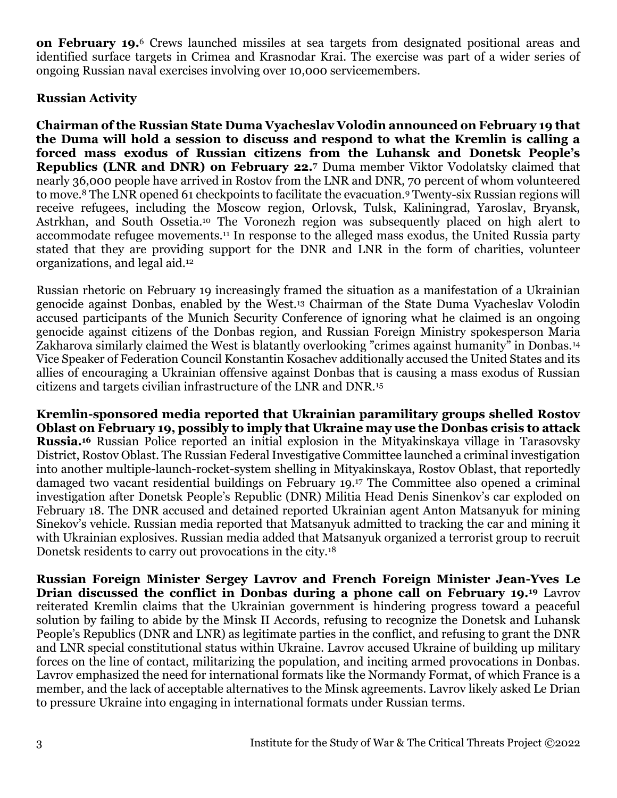**on February 19.**<sup>6</sup> Crews launched missiles at sea targets from designated positional areas and identified surface targets in Crimea and Krasnodar Krai. The exercise was part of a wider series of ongoing Russian naval exercises involving over 10,000 servicemembers.

#### **Russian Activity**

**Chairman of the Russian State Duma Vyacheslav Volodin announced on February 19 that the Duma will hold a session to discuss and respond to what the Kremlin is calling a forced mass exodus of Russian citizens from the Luhansk and Donetsk People's Republics (LNR and DNR) on February 22.<sup>7</sup>** Duma member Viktor Vodolatsky claimed that nearly 36,000 people have arrived in Rostov from the LNR and DNR, 70 percent of whom volunteered to move.<sup>8</sup> The LNR opened 61 checkpoints to facilitate the evacuation.<sup>9</sup> Twenty-six Russian regions will receive refugees, including the Moscow region, Orlovsk, Tulsk, Kaliningrad, Yaroslav, Bryansk, Astrkhan, and South Ossetia.<sup>10</sup> The Voronezh region was subsequently placed on high alert to accommodate refugee movements.<sup>11</sup> In response to the alleged mass exodus, the United Russia party stated that they are providing support for the DNR and LNR in the form of charities, volunteer organizations, and legal aid.<sup>12</sup>

Russian rhetoric on February 19 increasingly framed the situation as a manifestation of a Ukrainian genocide against Donbas, enabled by the West.<sup>13</sup> Chairman of the State Duma Vyacheslav Volodin accused participants of the Munich Security Conference of ignoring what he claimed is an ongoing genocide against citizens of the Donbas region, and Russian Foreign Ministry spokesperson Maria Zakharova similarly claimed the West is blatantly overlooking "crimes against humanity" in Donbas.<sup>14</sup> Vice Speaker of Federation Council Konstantin Kosachev additionally accused the United States and its allies of encouraging a Ukrainian offensive against Donbas that is causing a mass exodus of Russian citizens and targets civilian infrastructure of the LNR and DNR.<sup>15</sup>

**Kremlin-sponsored media reported that Ukrainian paramilitary groups shelled Rostov Oblast on February 19, possibly to imply that Ukraine may use the Donbas crisis to attack Russia.<sup>16</sup>** Russian Police reported an initial explosion in the Mityakinskaya village in Tarasovsky District, Rostov Oblast. The Russian Federal Investigative Committee launched a criminal investigation into another multiple-launch-rocket-system shelling in Mityakinskaya, Rostov Oblast, that reportedly damaged two vacant residential buildings on February 19.<sup>17</sup> The Committee also opened a criminal investigation after Donetsk People's Republic (DNR) Militia Head Denis Sinenkov's car exploded on February 18. The DNR accused and detained reported Ukrainian agent Anton Matsanyuk for mining Sinekov's vehicle. Russian media reported that Matsanyuk admitted to tracking the car and mining it with Ukrainian explosives. Russian media added that Matsanyuk organized a terrorist group to recruit Donetsk residents to carry out provocations in the city.<sup>18</sup>

**Russian Foreign Minister Sergey Lavrov and French Foreign Minister Jean-Yves Le Drian discussed the conflict in Donbas during a phone call on February 19.<sup>19</sup>** Lavrov reiterated Kremlin claims that the Ukrainian government is hindering progress toward a peaceful solution by failing to abide by the Minsk II Accords, refusing to recognize the Donetsk and Luhansk People's Republics (DNR and LNR) as legitimate parties in the conflict, and refusing to grant the DNR and LNR special constitutional status within Ukraine. Lavrov accused Ukraine of building up military forces on the line of contact, militarizing the population, and inciting armed provocations in Donbas. Lavrov emphasized the need for international formats like the Normandy Format, of which France is a member, and the lack of acceptable alternatives to the Minsk agreements. Lavrov likely asked Le Drian to pressure Ukraine into engaging in international formats under Russian terms.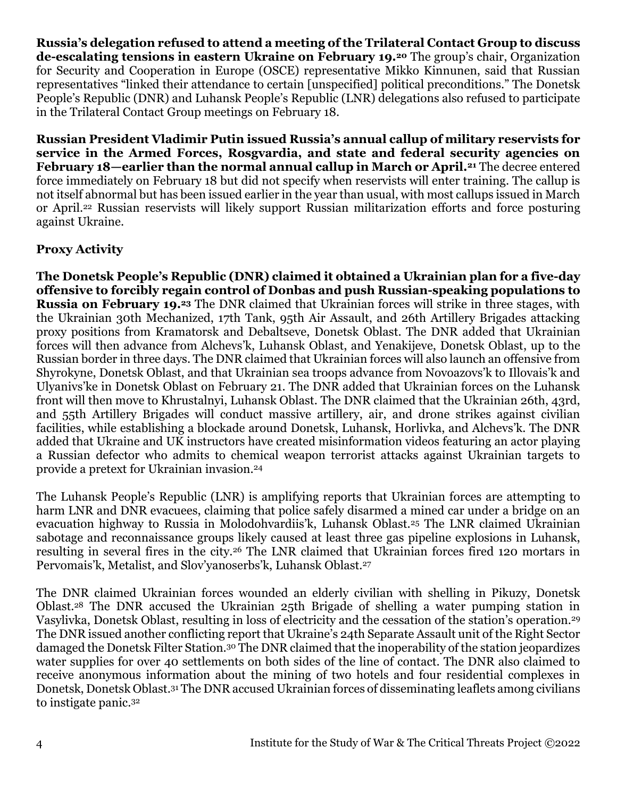**Russia's delegation refused to attend a meeting of the Trilateral Contact Group to discuss de-escalating tensions in eastern Ukraine on February 19.<sup>20</sup>** The group's chair, Organization for Security and Cooperation in Europe (OSCE) representative Mikko Kinnunen, said that Russian representatives "linked their attendance to certain [unspecified] political preconditions." The Donetsk People's Republic (DNR) and Luhansk People's Republic (LNR) delegations also refused to participate in the Trilateral Contact Group meetings on February 18.

**Russian President Vladimir Putin issued Russia's annual callup of military reservists for service in the Armed Forces, Rosgvardia, and state and federal security agencies on February 18—earlier than the normal annual callup in March or April.<sup>21</sup>** The decree entered force immediately on February 18 but did not specify when reservists will enter training. The callup is not itself abnormal but has been issued earlier in the year than usual, with most callups issued in March or April.<sup>22</sup> Russian reservists will likely support Russian militarization efforts and force posturing against Ukraine.

# **Proxy Activity**

**The Donetsk People's Republic (DNR) claimed it obtained a Ukrainian plan for a five-day offensive to forcibly regain control of Donbas and push Russian-speaking populations to Russia on February 19.<sup>23</sup>** The DNR claimed that Ukrainian forces will strike in three stages, with the Ukrainian 30th Mechanized, 17th Tank, 95th Air Assault, and 26th Artillery Brigades attacking proxy positions from Kramatorsk and Debaltseve, Donetsk Oblast. The DNR added that Ukrainian forces will then advance from Alchevs'k, Luhansk Oblast, and Yenakijeve, Donetsk Oblast, up to the Russian border in three days. The DNR claimed that Ukrainian forces will also launch an offensive from Shyrokyne, Donetsk Oblast, and that Ukrainian sea troops advance from Novoazovs'k to Illovais'k and Ulyanivs'ke in Donetsk Oblast on February 21. The DNR added that Ukrainian forces on the Luhansk front will then move to Khrustalnyi, Luhansk Oblast. The DNR claimed that the Ukrainian 26th, 43rd, and 55th Artillery Brigades will conduct massive artillery, air, and drone strikes against civilian facilities, while establishing a blockade around Donetsk, Luhansk, Horlivka, and Alchevs'k. The DNR added that Ukraine and UK instructors have created misinformation videos featuring an actor playing a Russian defector who admits to chemical weapon terrorist attacks against Ukrainian targets to provide a pretext for Ukrainian invasion.<sup>24</sup>

The Luhansk People's Republic (LNR) is amplifying reports that Ukrainian forces are attempting to harm LNR and DNR evacuees, claiming that police safely disarmed a mined car under a bridge on an evacuation highway to Russia in Molodohvardiis'k, Luhansk Oblast.<sup>25</sup> The LNR claimed Ukrainian sabotage and reconnaissance groups likely caused at least three gas pipeline explosions in Luhansk, resulting in several fires in the city.<sup>26</sup> The LNR claimed that Ukrainian forces fired 120 mortars in Pervomais'k, Metalist, and Slov'yanoserbs'k, Luhansk Oblast.<sup>27</sup>

The DNR claimed Ukrainian forces wounded an elderly civilian with shelling in Pikuzy, Donetsk Oblast.<sup>28</sup> The DNR accused the Ukrainian 25th Brigade of shelling a water pumping station in Vasylivka, Donetsk Oblast, resulting in loss of electricity and the cessation of the station's operation.<sup>29</sup> The DNR issued another conflicting report that Ukraine's 24th Separate Assault unit of the Right Sector damaged the Donetsk Filter Station.<sup>30</sup> The DNR claimed that the inoperability of the station jeopardizes water supplies for over 40 settlements on both sides of the line of contact. The DNR also claimed to receive anonymous information about the mining of two hotels and four residential complexes in Donetsk, Donetsk Oblast.<sup>31</sup> The DNR accused Ukrainian forces of disseminating leaflets among civilians to instigate panic.<sup>32</sup>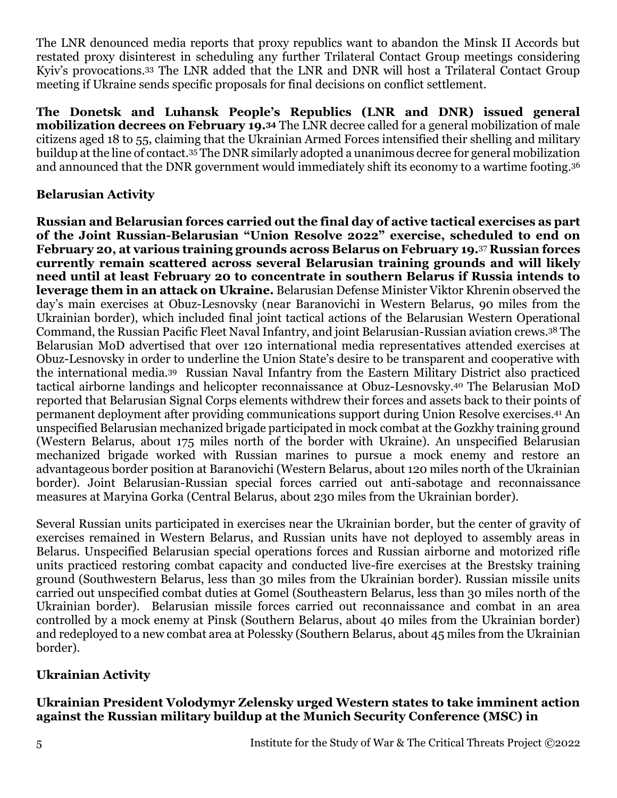The LNR denounced media reports that proxy republics want to abandon the Minsk II Accords but restated proxy disinterest in scheduling any further Trilateral Contact Group meetings considering Kyiv's provocations.<sup>33</sup> The LNR added that the LNR and DNR will host a Trilateral Contact Group meeting if Ukraine sends specific proposals for final decisions on conflict settlement.

**The Donetsk and Luhansk People's Republics (LNR and DNR) issued general mobilization decrees on February 19.<sup>34</sup>** The LNR decree called for a general mobilization of male citizens aged 18 to 55, claiming that the Ukrainian Armed Forces intensified their shelling and military buildup at the line of contact.<sup>35</sup> The DNR similarly adopted a unanimous decree for general mobilization and announced that the DNR government would immediately shift its economy to a wartime footing.<sup>36</sup>

### **Belarusian Activity**

**Russian and Belarusian forces carried out the final day of active tactical exercises as part of the Joint Russian-Belarusian "Union Resolve 2022" exercise, scheduled to end on February 20, at various training grounds across Belarus on February 19.**<sup>37</sup> **Russian forces currently remain scattered across several Belarusian training grounds and will likely need until at least February 20 to concentrate in southern Belarus if Russia intends to leverage them in an attack on Ukraine.** Belarusian Defense Minister Viktor Khrenin observed the day's main exercises at Obuz-Lesnovsky (near Baranovichi in Western Belarus, 90 miles from the Ukrainian border), which included final joint tactical actions of the Belarusian Western Operational Command, the Russian Pacific Fleet Naval Infantry, and joint Belarusian-Russian aviation crews.<sup>38</sup> The Belarusian MoD advertised that over 120 international media representatives attended exercises at Obuz-Lesnovsky in order to underline the Union State's desire to be transparent and cooperative with the international media.39 Russian Naval Infantry from the Eastern Military District also practiced tactical airborne landings and helicopter reconnaissance at Obuz-Lesnovsky.<sup>40</sup> The Belarusian MoD reported that Belarusian Signal Corps elements withdrew their forces and assets back to their points of permanent deployment after providing communications support during Union Resolve exercises.<sup>41</sup> An unspecified Belarusian mechanized brigade participated in mock combat at the Gozkhy training ground (Western Belarus, about 175 miles north of the border with Ukraine). An unspecified Belarusian mechanized brigade worked with Russian marines to pursue a mock enemy and restore an advantageous border position at Baranovichi (Western Belarus, about 120 miles north of the Ukrainian border). Joint Belarusian-Russian special forces carried out anti-sabotage and reconnaissance measures at Maryina Gorka (Central Belarus, about 230 miles from the Ukrainian border).

Several Russian units participated in exercises near the Ukrainian border, but the center of gravity of exercises remained in Western Belarus, and Russian units have not deployed to assembly areas in Belarus. Unspecified Belarusian special operations forces and Russian airborne and motorized rifle units practiced restoring combat capacity and conducted live-fire exercises at the Brestsky training ground (Southwestern Belarus, less than 30 miles from the Ukrainian border). Russian missile units carried out unspecified combat duties at Gomel (Southeastern Belarus, less than 30 miles north of the Ukrainian border). Belarusian missile forces carried out reconnaissance and combat in an area controlled by a mock enemy at Pinsk (Southern Belarus, about 40 miles from the Ukrainian border) and redeployed to a new combat area at Polessky (Southern Belarus, about 45 miles from the Ukrainian border).

## **Ukrainian Activity**

## **Ukrainian President Volodymyr Zelensky urged Western states to take imminent action against the Russian military buildup at the Munich Security Conference (MSC) in**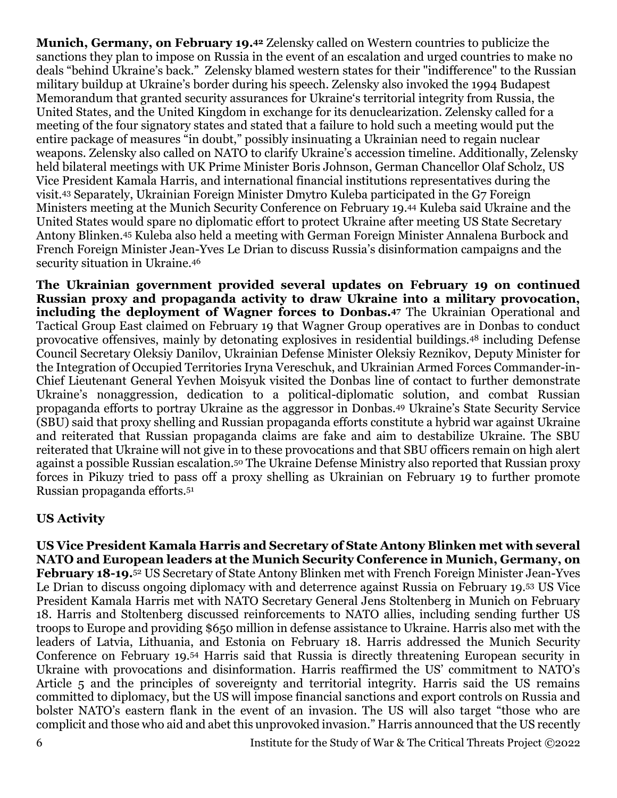**Munich, Germany, on February 19.<sup>42</sup>** Zelensky called on Western countries to publicize the sanctions they plan to impose on Russia in the event of an escalation and urged countries to make no deals "behind Ukraine's back." Zelensky blamed western states for their "indifference" to the Russian military buildup at Ukraine's border during his speech. Zelensky also invoked the 1994 Budapest Memorandum that granted security assurances for Ukraine's territorial integrity from Russia, the United States, and the United Kingdom in exchange for its denuclearization. Zelensky called for a meeting of the four signatory states and stated that a failure to hold such a meeting would put the entire package of measures "in doubt," possibly insinuating a Ukrainian need to regain nuclear weapons. Zelensky also called on NATO to clarify Ukraine's accession timeline. Additionally, Zelensky held bilateral meetings with UK Prime Minister Boris Johnson, German Chancellor Olaf Scholz, US Vice President Kamala Harris, and international financial institutions representatives during the visit.<sup>43</sup> Separately, Ukrainian Foreign Minister Dmytro Kuleba participated in the G7 Foreign Ministers meeting at the Munich Security Conference on February 19.<sup>44</sup> Kuleba said Ukraine and the United States would spare no diplomatic effort to protect Ukraine after meeting US State Secretary Antony Blinken.<sup>45</sup> Kuleba also held a meeting with German Foreign Minister Annalena Burbock and French Foreign Minister Jean-Yves Le Drian to discuss Russia's disinformation campaigns and the security situation in Ukraine.<sup>46</sup>

**The Ukrainian government provided several updates on February 19 on continued Russian proxy and propaganda activity to draw Ukraine into a military provocation, including the deployment of Wagner forces to Donbas.<sup>47</sup>** The Ukrainian Operational and Tactical Group East claimed on February 19 that Wagner Group operatives are in Donbas to conduct provocative offensives, mainly by detonating explosives in residential buildings.<sup>48</sup> including Defense Council Secretary Oleksiy Danilov, Ukrainian Defense Minister Oleksiy Reznikov, Deputy Minister for the Integration of Occupied Territories Iryna Vereschuk, and Ukrainian Armed Forces Commander-in-Chief Lieutenant General Yevhen Moisyuk visited the Donbas line of contact to further demonstrate Ukraine's nonaggression, dedication to a political-diplomatic solution, and combat Russian propaganda efforts to portray Ukraine as the aggressor in Donbas.<sup>49</sup> Ukraine's State Security Service (SBU) said that proxy shelling and Russian propaganda efforts constitute a hybrid war against Ukraine and reiterated that Russian propaganda claims are fake and aim to destabilize Ukraine. The SBU reiterated that Ukraine will not give in to these provocations and that SBU officers remain on high alert against a possible Russian escalation.<sup>50</sup> The Ukraine Defense Ministry also reported that Russian proxy forces in Pikuzy tried to pass off a proxy shelling as Ukrainian on February 19 to further promote Russian propaganda efforts.<sup>51</sup>

#### **US Activity**

**US Vice President Kamala Harris and Secretary of State Antony Blinken met with several NATO and European leaders at the Munich Security Conference in Munich, Germany, on February 18-19.**<sup>52</sup> US Secretary of State Antony Blinken met with French Foreign Minister Jean-Yves Le Drian to discuss ongoing diplomacy with and deterrence against Russia on February 19.<sup>53</sup> US Vice President Kamala Harris met with NATO Secretary General Jens Stoltenberg in Munich on February 18. Harris and Stoltenberg discussed reinforcements to NATO allies, including sending further US troops to Europe and providing \$650 million in defense assistance to Ukraine. Harris also met with the leaders of Latvia, Lithuania, and Estonia on February 18. Harris addressed the Munich Security Conference on February 19.<sup>54</sup> Harris said that Russia is directly threatening European security in Ukraine with provocations and disinformation. Harris reaffirmed the US' commitment to NATO's Article 5 and the principles of sovereignty and territorial integrity. Harris said the US remains committed to diplomacy, but the US will impose financial sanctions and export controls on Russia and bolster NATO's eastern flank in the event of an invasion. The US will also target "those who are complicit and those who aid and abet this unprovoked invasion." Harris announced that the US recently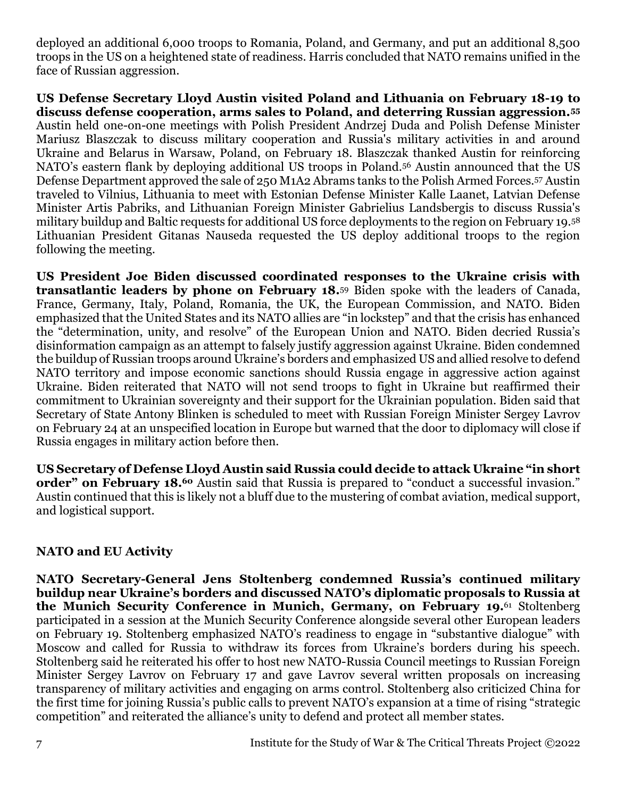deployed an additional 6,000 troops to Romania, Poland, and Germany, and put an additional 8,500 troops in the US on a heightened state of readiness. Harris concluded that NATO remains unified in the face of Russian aggression.

**US Defense Secretary Lloyd Austin visited Poland and Lithuania on February 18-19 to discuss defense cooperation, arms sales to Poland, and deterring Russian aggression.<sup>55</sup>** Austin held one-on-one meetings with Polish President Andrzej Duda and Polish Defense Minister Mariusz Blaszczak to discuss military cooperation and Russia's military activities in and around Ukraine and Belarus in Warsaw, Poland, on February 18. Blaszczak thanked Austin for reinforcing NATO's eastern flank by deploying additional US troops in Poland.<sup>56</sup> Austin announced that the US Defense Department approved the sale of 250 M1A2 Abrams tanks to the Polish Armed Forces.<sup>57</sup> Austin traveled to Vilnius, Lithuania to meet with Estonian Defense Minister Kalle Laanet, Latvian Defense Minister Artis Pabriks, and Lithuanian Foreign Minister Gabrielius Landsbergis to discuss Russia's military buildup and Baltic requests for additional US force deployments to the region on February 19.<sup>58</sup> Lithuanian President Gitanas Nauseda requested the US deploy additional troops to the region following the meeting.

**US President Joe Biden discussed coordinated responses to the Ukraine crisis with transatlantic leaders by phone on February 18.**<sup>59</sup> Biden spoke with the leaders of Canada, France, Germany, Italy, Poland, Romania, the UK, the European Commission, and NATO. Biden emphasized that the United States and its NATO allies are "in lockstep" and that the crisis has enhanced the "determination, unity, and resolve" of the European Union and NATO. Biden decried Russia's disinformation campaign as an attempt to falsely justify aggression against Ukraine. Biden condemned the buildup of Russian troops around Ukraine's borders and emphasized US and allied resolve to defend NATO territory and impose economic sanctions should Russia engage in aggressive action against Ukraine. Biden reiterated that NATO will not send troops to fight in Ukraine but reaffirmed their commitment to Ukrainian sovereignty and their support for the Ukrainian population. Biden said that Secretary of State Antony Blinken is scheduled to meet with Russian Foreign Minister Sergey Lavrov on February 24 at an unspecified location in Europe but warned that the door to diplomacy will close if Russia engages in military action before then.

**US Secretary of Defense Lloyd Austin said Russia could decide to attack Ukraine "in short order" on February 18.<sup>60</sup>** Austin said that Russia is prepared to "conduct a successful invasion." Austin continued that this is likely not a bluff due to the mustering of combat aviation, medical support, and logistical support.

## **NATO and EU Activity**

**NATO Secretary-General Jens Stoltenberg condemned Russia's continued military buildup near Ukraine's borders and discussed NATO's diplomatic proposals to Russia at the Munich Security Conference in Munich, Germany, on February 19.**<sup>61</sup> Stoltenberg participated in a session at the Munich Security Conference alongside several other European leaders on February 19. Stoltenberg emphasized NATO's readiness to engage in "substantive dialogue" with Moscow and called for Russia to withdraw its forces from Ukraine's borders during his speech. Stoltenberg said he reiterated his offer to host new NATO-Russia Council meetings to Russian Foreign Minister Sergey Lavrov on February 17 and gave Lavrov several written proposals on increasing transparency of military activities and engaging on arms control. Stoltenberg also criticized China for the first time for joining Russia's public calls to prevent NATO's expansion at a time of rising "strategic competition" and reiterated the alliance's unity to defend and protect all member states.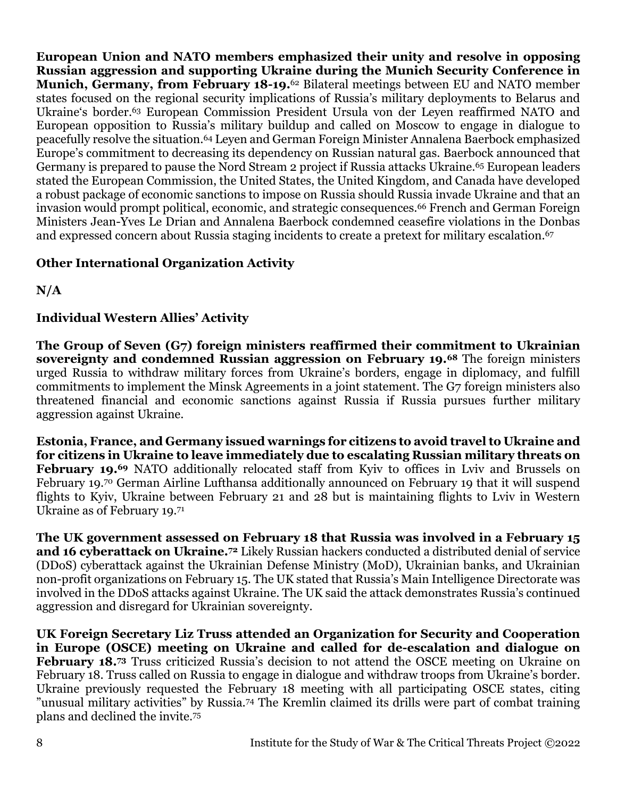**European Union and NATO members emphasized their unity and resolve in opposing Russian aggression and supporting Ukraine during the Munich Security Conference in Munich, Germany, from February 18-19.**<sup>62</sup> Bilateral meetings between EU and NATO member states focused on the regional security implications of Russia's military deployments to Belarus and Ukraine's border.<sup>63</sup> European Commission President Ursula von der Leyen reaffirmed NATO and European opposition to Russia's military buildup and called on Moscow to engage in dialogue to peacefully resolve the situation.<sup>64</sup> Leyen and German Foreign Minister Annalena Baerbock emphasized Europe's commitment to decreasing its dependency on Russian natural gas. Baerbock announced that Germany is prepared to pause the Nord Stream 2 project if Russia attacks Ukraine.<sup>65</sup> European leaders stated the European Commission, the United States, the United Kingdom, and Canada have developed a robust package of economic sanctions to impose on Russia should Russia invade Ukraine and that an invasion would prompt political, economic, and strategic consequences.<sup>66</sup> French and German Foreign Ministers Jean-Yves Le Drian and Annalena Baerbock condemned ceasefire violations in the Donbas and expressed concern about Russia staging incidents to create a pretext for military escalation.<sup>67</sup>

# **Other International Organization Activity**

**N/A**

# **Individual Western Allies' Activity**

**The Group of Seven (G7) foreign ministers reaffirmed their commitment to Ukrainian sovereignty and condemned Russian aggression on February 19.<sup>68</sup>** The foreign ministers urged Russia to withdraw military forces from Ukraine's borders, engage in diplomacy, and fulfill commitments to implement the Minsk Agreements in a joint statement. The G7 foreign ministers also threatened financial and economic sanctions against Russia if Russia pursues further military aggression against Ukraine.

**Estonia, France, and Germany issued warnings for citizens to avoid travel to Ukraine and for citizens in Ukraine to leave immediately due to escalating Russian military threats on February 19.<sup>69</sup>** NATO additionally relocated staff from Kyiv to offices in Lviv and Brussels on February 19.<sup>70</sup> German Airline Lufthansa additionally announced on February 19 that it will suspend flights to Kyiv, Ukraine between February 21 and 28 but is maintaining flights to Lviv in Western Ukraine as of February 19.<sup>71</sup>

**The UK government assessed on February 18 that Russia was involved in a February 15 and 16 cyberattack on Ukraine.<sup>72</sup>** Likely Russian hackers conducted a distributed denial of service (DDoS) cyberattack against the Ukrainian Defense Ministry (MoD), Ukrainian banks, and Ukrainian non-profit organizations on February 15. The UK stated that Russia's Main Intelligence Directorate was involved in the DDoS attacks against Ukraine. The UK said the attack demonstrates Russia's continued aggression and disregard for Ukrainian sovereignty.

**UK Foreign Secretary Liz Truss attended an Organization for Security and Cooperation in Europe (OSCE) meeting on Ukraine and called for de-escalation and dialogue on February 18.<sup>73</sup>** Truss criticized Russia's decision to not attend the OSCE meeting on Ukraine on February 18. Truss called on Russia to engage in dialogue and withdraw troops from Ukraine's border. Ukraine previously requested the February 18 meeting with all participating OSCE states, citing "unusual military activities" by Russia.<sup>74</sup> The Kremlin claimed its drills were part of combat training plans and declined the invite.75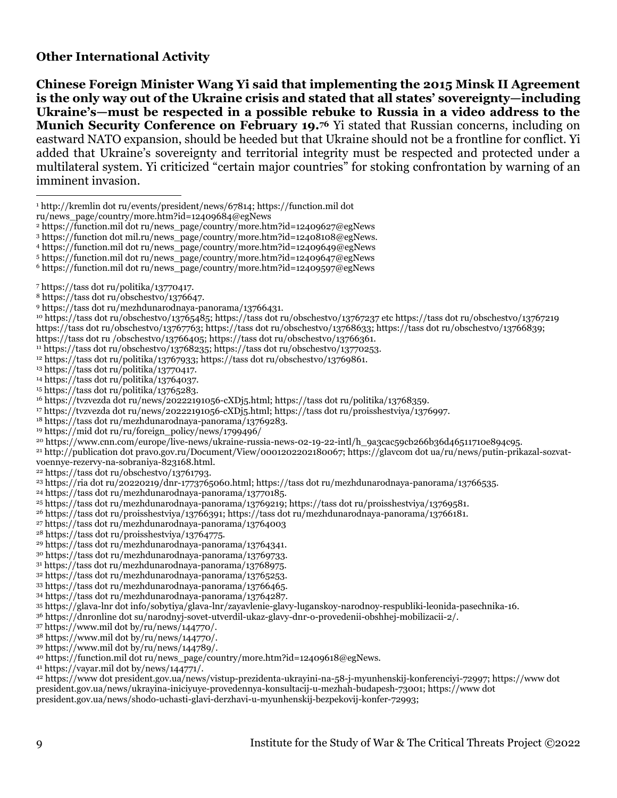#### **Other International Activity**

**Chinese Foreign Minister Wang Yi said that implementing the 2015 Minsk II Agreement is the only way out of the Ukraine crisis and stated that all states' sovereignty—including Ukraine's—must be respected in a possible rebuke to Russia in a video address to the Munich Security Conference on February 19.<sup>76</sup>** Yi stated that Russian concerns, including on eastward NATO expansion, should be heeded but that Ukraine should not be a frontline for conflict. Yi added that Ukraine's sovereignty and territorial integrity must be respected and protected under a multilateral system. Yi criticized "certain major countries" for stoking confrontation by warning of an imminent invasion.

ru/news\_page/country/more.htm?id=12409684@egNews

https://function.mil dot ru/news\_page/country/more.htm?id=12409597@egNews

https://tass dot ru /obschestvo/13766405; https://tass dot ru/obschestvo/13766361.

https://tass dot ru/obschestvo/13768235; https://tass dot ru/obschestvo/13770253.

<sup>12</sup> https://tass dot ru/politika/13767933; https://tass dot ru/obschestvo/13769861.

https://tass dot ru/politika/13770417.

https://tass dot ru/politika/13764037.

https://tass dot ru/politika/13765283.

https://tvzvezda dot ru/news/20222191056-cXDj5.html; https://tass dot ru/politika/13768359.

https://tvzvezda dot ru/news/20222191056-cXDj5.html; https://tass dot ru/proisshestviya/1376997.

https://tass dot ru/mezhdunarodnaya-panorama/13769283.

https://mid dot ru/ru/foreign\_policy/news/1799496/

https://www.cnn.com/europe/live-news/ukraine-russia-news-02-19-22-intl/h\_9a3cac59cb266b36d46511710e894c95.

 http://publication dot pravo.gov.ru/Document/View/0001202202180067; https://glavcom dot ua/ru/news/putin-prikazal-sozvatvoennye-rezervy-na-sobraniya-823168.html.

 $22 \text{ https://tass dot ru/obschestvo/13761793.}$ 

https://tass dot ru/mezhdunarodnaya-panorama/13770185.

https://tass dot ru/proisshestviya/13766391; https://tass dot ru/mezhdunarodnaya-panorama/13766181.

https://tass dot ru/mezhdunarodnaya-panorama/13764003

https://tass dot ru/proisshestviya/13764775.

https://tass dot ru/mezhdunarodnaya-panorama/13764341.

https://tass dot ru/mezhdunarodnaya-panorama/13769733.

https://tass dot ru/mezhdunarodnaya-panorama/13768975.

https://tass dot ru/mezhdunarodnaya-panorama/13765253.

https://tass dot ru/mezhdunarodnaya-panorama/13766465.

https://tass dot ru/mezhdunarodnaya-panorama/13764287.

https://glava-lnr dot info/sobytiya/glava-lnr/zayavlenie-glavy-luganskoy-narodnoy-respubliki-leonida-pasechnika-16.

https://dnronline dot su/narodnyj-sovet-utverdil-ukaz-glavy-dnr-o-provedenii-obshhej-mobilizacii-2/.

https://www.mil dot by/ru/news/144770/.

https://www.mil dot by/ru/news/144770/.

https://www.mil dot by/ru/news/144789/.

https://function.mil dot ru/news\_page/country/more.htm?id=12409618@egNews.

https://vayar.mil dot by/news/144771/.

 https://www dot president.gov.ua/news/vistup-prezidenta-ukrayini-na-58-j-myunhenskij-konferenciyi-72997; https://www dot president.gov.ua/news/ukrayina-iniciyuye-provedennya-konsultacij-u-mezhah-budapesh-73001; https://www dot president.gov.ua/news/shodo-uchasti-glavi-derzhavi-u-myunhenskij-bezpekovij-konfer-72993;

http://kremlin dot ru/events/president/news/67814; https://function.mil dot

https://function.mil dot ru/news\_page/country/more.htm?id=12409627@egNews

https://function dot mil.ru/news\_page/country/more.htm?id=12408108@egNews.

https://function.mil dot ru/news\_page/country/more.htm?id=12409649@egNews

https://function.mil dot ru/news\_page/country/more.htm?id=12409647@egNews

https://tass dot ru/politika/13770417.

https://tass dot ru/obschestvo/1376647.

https://tass dot ru/mezhdunarodnaya-panorama/13766431.

 https://tass dot ru/obschestvo/13765485; https://tass dot ru/obschestvo/13767237 etc https://tass dot ru/obschestvo/13767219 https://tass dot ru/obschestvo/13767763; https://tass dot ru/obschestvo/13768633; https://tass dot ru/obschestvo/13766839;

https://ria dot ru/20220219/dnr-1773765060.html; https://tass dot ru/mezhdunarodnaya-panorama/13766535.

https://tass dot ru/mezhdunarodnaya-panorama/13769219; https://tass dot ru/proisshestviya/13769581.